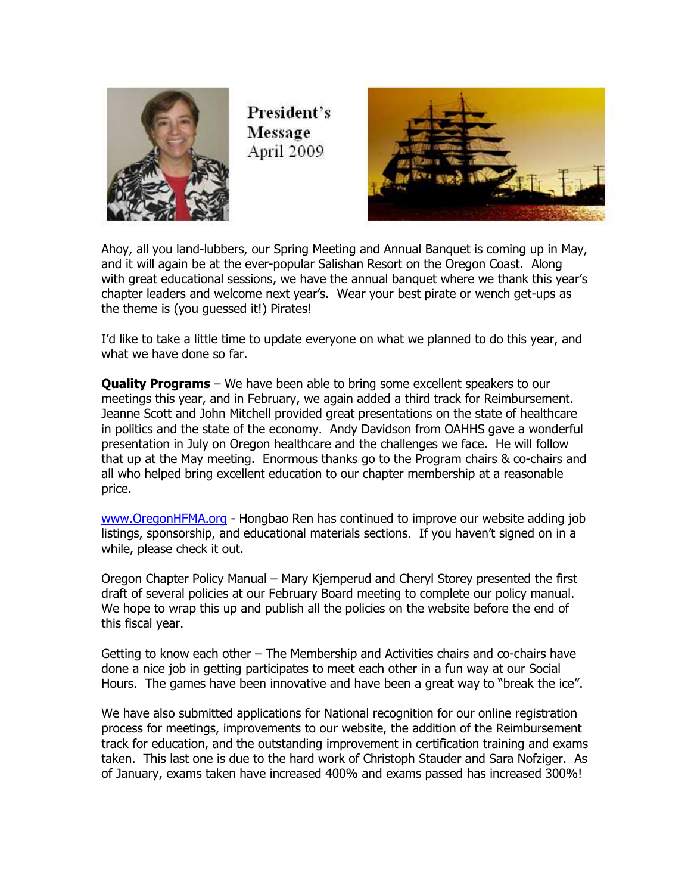

President's Message April 2009



Ahoy, all you land-lubbers, our Spring Meeting and Annual Banquet is coming up in May, and it will again be at the ever-popular Salishan Resort on the Oregon Coast. Along with great educational sessions, we have the annual banquet where we thank this year's chapter leaders and welcome next year's. Wear your best pirate or wench get-ups as the theme is (you guessed it!) Pirates!

I'd like to take a little time to update everyone on what we planned to do this year, and what we have done so far.

**Quality Programs** – We have been able to bring some excellent speakers to our meetings this year, and in February, we again added a third track for Reimbursement. Jeanne Scott and John Mitchell provided great presentations on the state of healthcare in politics and the state of the economy. Andy Davidson from OAHHS gave a wonderful presentation in July on Oregon healthcare and the challenges we face. He will follow that up at the May meeting. Enormous thanks go to the Program chairs & co-chairs and all who helped bring excellent education to our chapter membership at a reasonable price.

www.OregonHFMA.org - Hongbao Ren has continued to improve our website adding job listings, sponsorship, and educational materials sections. If you haven't signed on in a while, please check it out.

Oregon Chapter Policy Manual – Mary Kjemperud and Cheryl Storey presented the first draft of several policies at our February Board meeting to complete our policy manual. We hope to wrap this up and publish all the policies on the website before the end of this fiscal year.

Getting to know each other – The Membership and Activities chairs and co-chairs have done a nice job in getting participates to meet each other in a fun way at our Social Hours. The games have been innovative and have been a great way to "break the ice".

We have also submitted applications for National recognition for our online registration process for meetings, improvements to our website, the addition of the Reimbursement track for education, and the outstanding improvement in certification training and exams taken. This last one is due to the hard work of Christoph Stauder and Sara Nofziger. As of January, exams taken have increased 400% and exams passed has increased 300%!